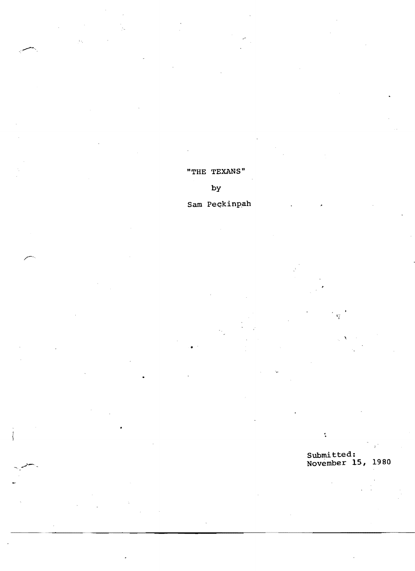"THE TEXANS"

by

Sam Peckinpah

Submitted: November **15,** 1980

¢,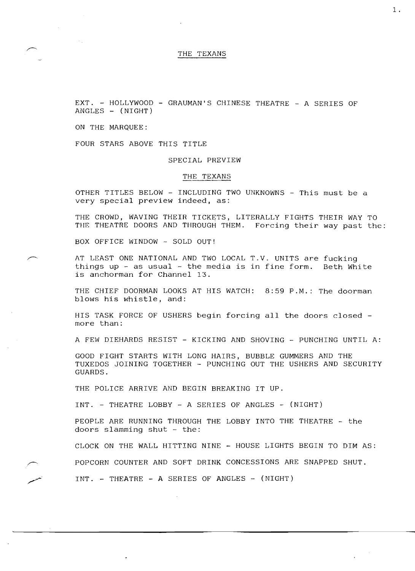## THE TEXANS

EXT. - HOLLYWOOD - GRAUMAN'S CHINESE THEATRE - A SERIES OF  $ANGLES - (NIGHT)$ 

ON THE MARQUEE:

FOUR STARS ABOVE THIS TITLE

SPECIAL PREVIEW

## THE TEXANS

OTHER TITLES BELOW - INCLUDING TWO UNKNOWNS - This must be a very special preview indeed, as:

THE CROWD, WAVING THEIR TICKETS, LITERALLY FIGHTS THEIR WAY TO THE THEATRE DOORS AND THROUGH THEM. Forcing their way past the:

BOX OFFICE WINDOW - SOLD OUT!

AT LEAST ONE NATIONAL AND TWO LOCAL T.V. UNITS are fucking things up  $-$  as usual  $-$  the media is in fine form. Beth White is anchorman for Channel 13.

THE CHIEF DOORMAN LOOKS AT HIS WATCH: 8:59 P.M.: The doorman blows his whistle, and:

HIS TASK FORCE OF USHERS begin forcing all the doors closed more than:

A FEW DIEHARDS RESIST - KICKING AND SHOVING - PUNCHING UNTIL A:

GOOD FIGHT STARTS WITH LONG HAIRS, BUBBLE GUMMERS AND THE TUXEDOS JOINING TOGETHER - PUNCHING OUT THE USHERS AND SECURITY GUARDS.

THE POLICE ARRIVE AND BEGIN BREAKING IT UP.

INT. - THEATRE LOBBY - A SERIES OF ANGLES - (NIGHT)

PEOPLE ARE RUNNING THROUGH THE LOBBY INTO THE THEATRE - the doors slamming shut - the:

CLOCK ON THE WALL HITTING NINE - HOUSE LIGHTS BEGIN TO DIM AS:

POPCORN COUNTER AND SOFT DRINK CONCESSIONS ARE SNAPPED SHUT.

 $INT. - THEATRE - A SERIES OF ANGLES - (NIGHT)$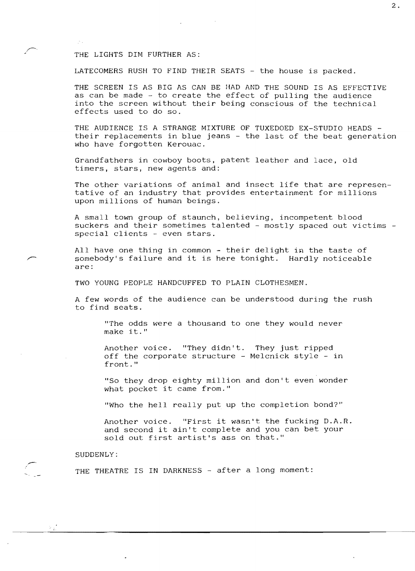#### THE LIGHTS DIM FURTHER AS:

LATECOMERS RUSH TO FIND THEIR SEATS - the house is packed.

THE SCREEN IS AS BIG AS CAN BE HAD AND THE SOUND IS AS EFFECTIVE as can be made - to create the effect of pulling the audience into the screen without their being conscious of the technical effects used to do so.

THE AUDIENCE IS A STRANGE MIXTURE OF TUXEDOED EX-STUDIO HEADS their replacements in blue jeans - the last of the beat generation who have forgotten Kerouac.

Grandfathers in cowboy boots, patent leather and lace, old timers, stars, new agents and:

The other variations of animal and insect life that are representative of an industry that provides entertainment for millions upon millions of human beings.

A small town group of staunch, believing, incompetent blood suckers and their sometimes talented - mostly spaced out victims special clients - even stars.

All have one thing in common - their delight in the taste of somebody's failure and it is here tonight. Hardly noticeable are:

TWO YOUNG PEOPLE HANDCUFFED TO PLAIN CLOTHESMEN.

A few words of the audience can be understood during the rush to find seats.

"The odds were a thousand to one they would never make it."

Another voice. "They didn't. They just ripped off the corporate structure - Melcnick style - in front."

"So they drop eighty million and don't even wonder what pocket it came from."

"Who the hell really put up the completion bond?"

Another voice. "First it wasn't the fucking D.A.R. and second it ain't complete and you can bet your sold out first artist's ass on that."

## SUDDENLY:

THE THEATRE IS IN DARKNESS - after a long moment: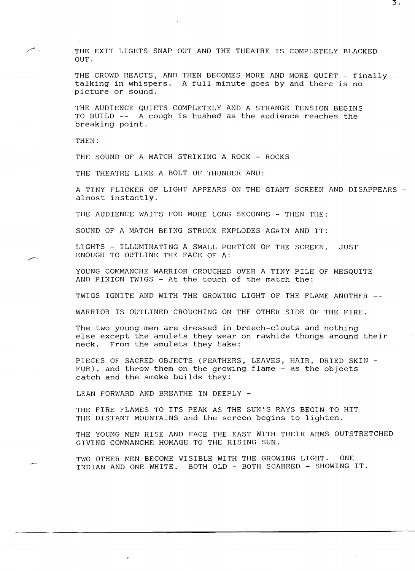THE EXIT LIGHTS SNAP OUT AND THE THEATRE IS COMPLETELY BLACKED OUT.

THE CROWD REACTS, AND THEN BECOMES MORE AND MORE QUIET - finally talking in whispers. A full minute goes by and there is no picture or sound.

THE AUDIENCE QUIETS COMPLETELY AND A STRANGE TENSION BEGINS TO BUILD  $--$  A cough is hushed as the audience reaches the breaking point.

THEN:

THE SOUND OF A MATCH STRIKING A ROCK - ROCKS

THE THEATRE LIKE A BOLT OF THUNDER AND:

A TINY FLICKER OF LIGHT APPEARS ON THE GIANT SCREEN AND DISAPPEARS almost instantly.

THE AUDIENCE WAITS FOR MORE LONG SECONDS - THEN THE:

SOUND OF A MATCH BEING STRUCK EXPLODES AGAIN AND IT:

LIGHTS - ILLUMINATING A SMALL PORTION OF THE SCREEN. JUST ENOUGH TO OUTLINE THE FACE OF A:

YOUNG COMMANCHE WARRIOR CROUCHED OVER A TINY PILE OF MESQUITE AND PINION TWIGS - At the touch of the match the:

TWIGS IGNITE AND WITH THE GROWING LIGHT OF THE FLAME ANOTHER

WARRIOR IS OUTLINED CROUCHING ON THE OTHER SIDE OF THE FIRE.

The two young men are dressed in breech-clouts and nothing else except the amulets they wear on rawhide thongs around their neck. From the amulets they take:

PIECES OF SACRED OBJECTS (FEATHERS, LEAVES, HAIR, DRIED SKIN -FUR), and throw them on the growing flame - as the objects catch and the smoke builds they:

LEAN FORWARD AND BREATHE IN DEEPLY -

THE FIRE FLAMES TO ITS PEAK AS THE SUN'S RAYS BEGIN TO HIT THE DISTANT MOUNTAINS and the screen begins to lighten.

THE YOUNG MEN RISE AND FACE THE EAST WITH THEIR ARMS OUTSTRETCHED GIVING COMMANCHE HOMAGE TO THE RISING SUN.

TWO OTHER MEN BECOME VISIBLE WITH THE GROWING LIGHT. ONE INDIAN AND ONE WHITE. BOTH OLD - BOTH SCARRED - SHOWING IT.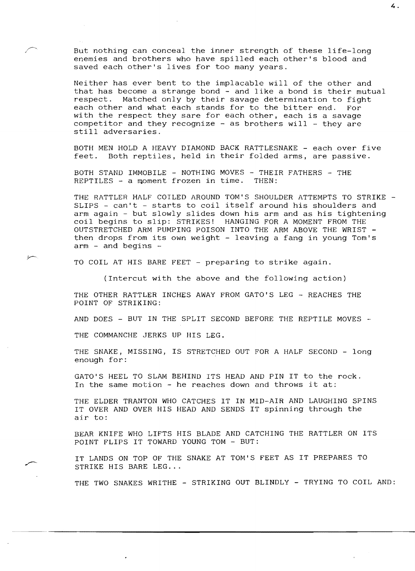But nothing can conceal the inner strength of these life-long enemies and brothers who have spilled each other's blood and saved each other's lives for too many years.

Neither has ever bent to the implacable will of the other and that has become a strange bond - and like a bond is their mutual<br>respect. Matched only by their savage determination to fight Matched only by their savage determination to fight each other and what each stands for to the bitter end. For with the respect they sare for each other, each is a savage competitor and they recognize  $-$  as brothers will  $-$  they are still adversaries.

BOTH MEN HOLD A HEAVY DIAMOND BACK RATTLESNAKE - each over five feet. Both reptiles, held in their folded arms, are passive.

BOTH STAND IMMOBILE - NOTHING MOVES - THEIR FATHERS - THE REPTILES - a moment frozen in time. THEN:

THE RATTLER HALF COILED AROUND TOM'S SHOULDER ATTEMPTS TO STRIKE -SLIPS - can't - starts to coil itself around his shoulders and arm again - but slowly slides down his arm and as his tightening coil begins to slip: STRIKES! HANGING FOR A MOMENT FROM THE OUTSTRETCHED ARM PUMPING POISON INTO THE ARM ABOVE THE WRIST then drops from its own weight - leaving a fang in young Tom's arm - and begins

TO COIL AT HIS BARE FEET - preparing to strike again.

(Intercut with the above and the following action)

THE OTHER RATTLER INCHES AWAY FROM GATO'S LEG - REACHES THE POINT OF STRIKING:

AND DOES  $-$  BUT IN THE SPLIT SECOND BEFORE THE REPTILE MOVES  $-$ 

THE COMMANCHE JERKS UP HIS LEG.

THE SNAKE, MISSING, IS STRETCHED OUT FOR A HALF SECOND - long enough for:

GATO'S HEEL TO SLAM BEHIND ITS HEAD AND PIN IT to the rock. In the same motion - he reaches down and throws it at:

THE ELDER TRANTON WHO CATCHES IT IN MID-AIR AND LAUGHING SPINS IT OVER AND OVER HIS HEAD AND SENDS IT spinning through the air to:

BEAR KNIFE WHO LIFTS HIS BLADE AND CATCHING THE RATTLER ON ITS POINT FLIPS IT TOWARD YOUNG TOM - BUT:

IT LANDS ON TOP OF THE SNAKE AT TOM'S FEET AS IT PREPARES TO STRIKE HIS BARE LEG...

THE TWO SNAKES WRITHE - STRIKING OUT BLINDLY - TRYING TO COIL AND: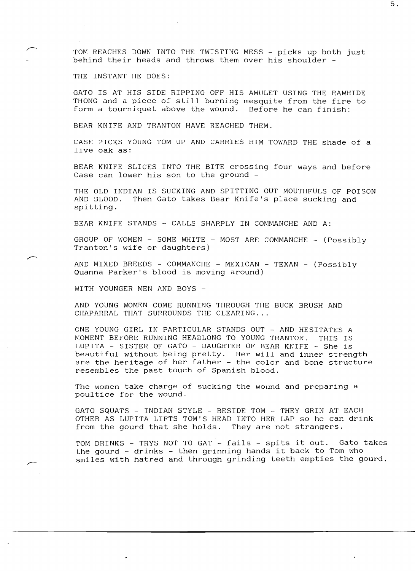TOM REACHES DOWN INTO THE TWISTING MESS - picks up both just behind their heads and throws them over his shoulder

THE INSTANT HE DOES:

GATO IS AT HIS SIDE RIPPING OFF HIS AMULET USING THE RAWHIDE THONG and a piece of still burning mesquite from the fire to form a tourniquet above the wound. Before he can finish:

BEAR KNIFE AND TRANTON HAVE REACHED THEM.

CASE PICKS YOUNG TOM UP AND CARRIES HIM TOWARD THE shade of a live oak as:

BEAR KNIFE SLICES INTO THE BITE crossing four ways and before Case can lower his son to the ground -

THE OLD INDIAN IS SUCKING AND SPITTING OUT MOUTHFULS OF POISON AND BLOOD. Then Gato takes Bear Knife's place sucking and spitting.

BEAR KNIFE STANDS - CALLS SHARPLY IN COMMANCHE AND A:

GROUP OF WOMEN - SOME WHITE - MOST ARE COMMANCHE - (Possibly Tranton's wife or daughters)

AND MIXED BREEDS - COMMANCHE - MEXICAN - TEXAN - (Possibly Quanna Parker's blood is moving around)

WITH YOUNGER MEN AND BOYS

AND YOJNG WOMEN COME RUNNING THROUGH THE BUCK BRUSH AND CHAPARRAL THAT SURROUNDS THE CLEARING...

ONE YOUNG GIRL IN PARTICULAR STANDS OUT - AND HESITATES A MOMENT BEFORE RUNNING HEADLONG TO YOUNG TRANTON. THIS IS LUPITA - SISTER OF GATO - DAUGHTER OF BEAR KNIFE - She is beautiful without being pretty. Her will and inner strength are the heritage of her father - the color and bone structure resembles the past touch of Spanish blood.

The women take charge of sucking the wound and preparing a poultice for the wound.

GATO SQUATS - INDIAN STYLE - BESIDE TOM - THEY GRIN AT EACH OTHER AS LUPITA LIFTS TOM'S HEAD INTO HER LAP so he can drink from the gourd that she holds. They are not strangers.

TOM DRINKS - TRYS NOT TO GAT - fails - spits it out. Gato takes the gourd - drinks - then grinning hands it back to Tom who smiles with hatred and through grinding teeth empties the gourd.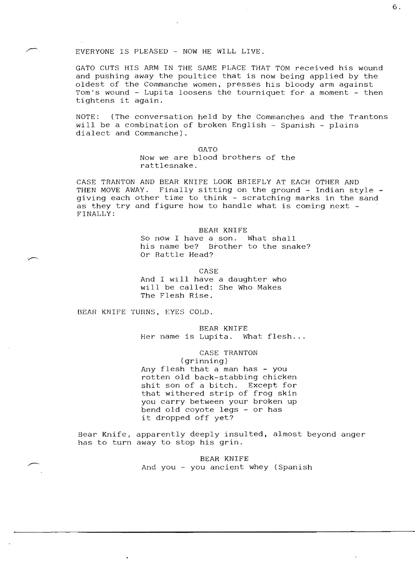## $EVERYONE$  IS PLEASED - NOW HE WILL LIVE.

GATO CUTS HIS ARM IN THE SAME PLACE THAT TOM received his wound and pushing away the poultice that is now being applied by the oldest of the Commanche women, presses his bloody arm against Tom's wound - Lupita loosens the tourniquet for a moment - then tightens it again.

NOTE: (The conversation held by the Commanches and the Trantons will be a combination of broken English - Spanish - plains dialect and Commanche).

> GATO Now we are blood brothers of the rattlesnake.

CASE TRANTON AND BEAR KNIFE LOOK BRIEFLY AT EACH OTHER AND THEN MOVE AWAY. Finally sitting on the ground - Indian style giving each other time to think - scratching marks in the sand as they try and figure how to handle what is coming next -FINALLY:

> BEAR KNIFE So now I have a son. What shall his name be? Brother to the snake? Or Rattle Head?

> > CASE

And I will have a daughter who will be called: She Who Makes The Flesh Rise.

BEAR KNIFE TURNS, EYES COLD.

BEAR KNIFE Her name is Lupita. What flesh...

CASE TRANTON (grinning) Any flesh that a man has - you rotten old back-stabbing chicken shit son of a bitch. Except for that withered strip of frog skin you carry between your broken up bend old coyote legs - or has it dropped off yet?

Bear Knife, apparently deeply insulted, almost beyond anger has to turn away to stop his grin.

> BEAR KNIFE And you  $-$  you ancient whey (Spanish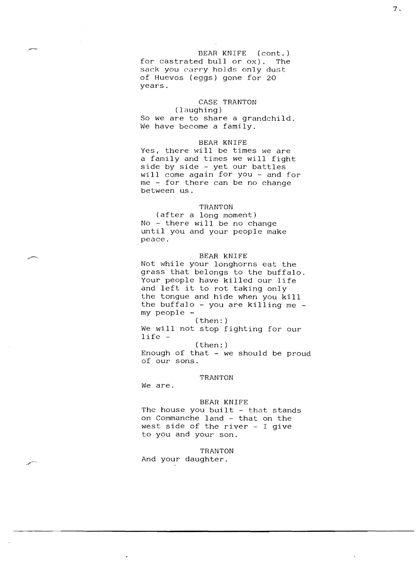BEAR KNIFE (cont.) for castrated bull or ox). The sack you carry holds only dust of Huevos (eggs) gone for 20 years.

# CASE TRANTON

(laughing) So we are to share a grandchild. We have become a family.

## BEAR KNIFE

Yes, there will be times we are a family and times we will fight side by side - yet our battles will come again for you - and for me - for there can be no change between us.

## TRANTON

(after a long moment) No - there will be no change until you and your people make peace.

## BEAR KNIFE

Not while your longhorns eat the grass that belongs to the buffalo. Your people have killed our life and left it to rot taking only the tongue and hide when you kill the buffalo - you are killing me my people (then: )

We will not stop fighting for our life

(then: )

Enough of that - we should be proud of our sons.

## TRANTON

We are.

### BEAR KNIFE

The house you built - that stands on Commanche land - that on the west side of the river - I give to you and your son.

TRANTON

And your daughter.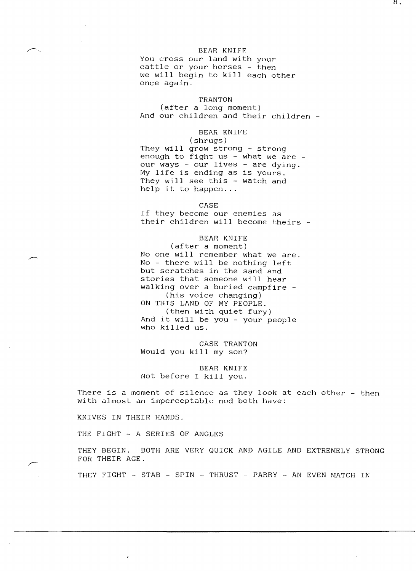### BEAR KNIPP.

You cross our land with your cattle or your horses - then we will begin to kill each other once again.

### TRANTON

(after a long moment) And our children and their children

## BEAR KNIFE

(shrugs) They will grow strong - strong enough to fight us - what we are our ways - our lives - are dying. My life is ending as is yours. They will see this - watch and help it to happen...

CASE

If they become our enemies as their children will become theirs

## BEAR KNIFE

(after a moment) No one will remember what we are. No - there will be nothing left but scratches in the sand and stories that someone will hear walking over a buried campfire (his voice changing) ON THIS LAND OF MY PEOPLE. (then with quiet fury) And it will be you - your people who killed us.

CASE TRANTON Would you kill my son?

BEAR KNIFE Not before I kill you.

There is a moment of silence as they look at each other - then with almost an imperceptable nod both have:

KNIVES IN THEIR HANDS.

THE FIGHT - A SERIES OF ANGLES

THEY BEGIN. BOTH ARE VERY QUICK AND AGILE AND EXTREMELY STRONG FOR THEIR AGE.

THEY FIGHT - STAB - SPIN - THRUST - PARRY - AN EVEN MATCH IN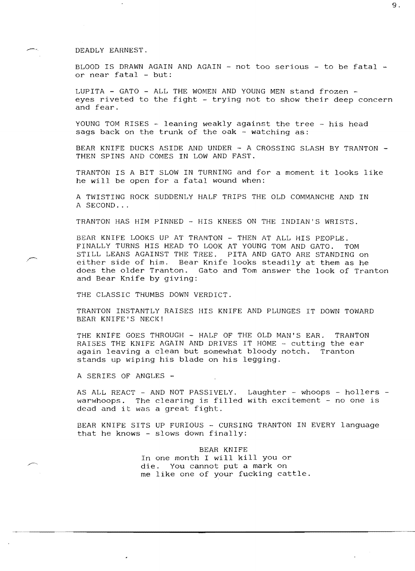## DEADLY EARNEST.

BLOOD IS DRAWN AGAIN AND AGAIN - not too serious - to be fatal  $$ or near fatal - but:

LUPITA - GATO - ALL THE WOMEN AND YOUNG MEN stand frozen eyes riveted to the fight - trying not to show their deep concern and fear.

YOUNG TOM RISES - leaning weakly against the tree - his head sags back on the trunk of the oak - watching as:

BEAR KNIFE DUCKS ASIDE AND UNDER - A CROSSING SLASH BY TRANTON THEN SPINS AND COMES IN LOW AND FAST.

TRANTON IS A BIT SLOW IN TURNING and for a moment it looks like he will be open for a fatal wound when:

A TWISTING ROCK SUDDENLY HALF TRIPS THE OLD COMMANCHE AND IN A SECOND...

TRANTON HAS HIM PINNED - HIS KNEES ON THE INDIAN'S WRISTS.

BEAR KNIFE LOOKS UP AT TRANTON - THEN AT ALL HIS PEOPLE. FINALLY TURNS HIS HEAD TO LOOK AT YOUNG TOM AND GATO. TOM STILL LEANS AGAINST THE TREE. PITA AND GATO ARE STANDING on either side of him. Bear Knife looks steadily at them as he does the older Tranton. Gato and Tom answer the look of Tranton and Bear Knife by giving:

THE CLASSIC THUMBS DOWN VERDICT.

TRANTON INSTANTLY RAISES HIS KNIFE AND PLUNGES IT DOWN TOWARD BEAR KNIFE'S NECK!

THE KNIFE GOES THROUGH - HALF OF THE OLD MAN'S EAR. TRANTON RAISES THE KNIFE AGAIN AND DRIVES IT HOME - cutting the ear again leaving a clean but somewhat bloody notch. Tranton stands up wiping his blade on his legging.

A SERIES OF ANGLES

AS ALL REACT - AND NOT PASSIVELY. Laughter - whoops - hollers warwhoops. The clearing is filled with excitement - no one is dead and it was a great fight.

BEAR KNIFE SITS UP FURIOUS - CURSING TRANTON IN EVERY language that he knows - slows down finally:

> BEAR KNIFE In one month I will kill you or die. You cannot put a mark on me like one of your fucking cattle.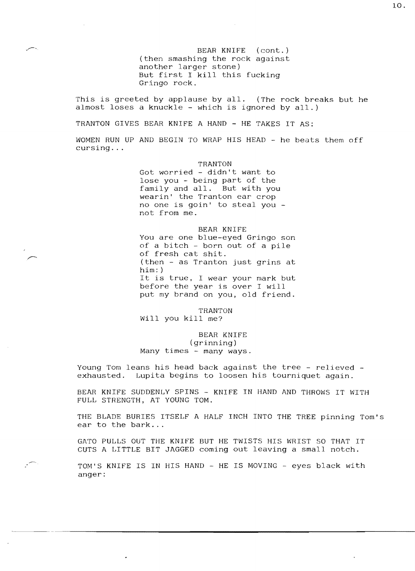BEAR KNIFE (cont.) (then smashing the rock against another larger stone) But first I kill this fucking Gringo rock.

This is greeted by applause by all. (The rock breaks but he almost loses a knuckle - which is ignored by all.)

TRANTON GIVES BEAR KNIFE A HAND - HE TAKES IT AS:

WOMEN RUN UP AND BEGIN TO WRAP HIS HEAD - he beats them off cursing ...

> TRANTON Got worried - didn't want to lose you - being part of the family and all. But with you wearin' the Tranton ear crop no one is goin' to steal you not from me.

BEAR KNIFE You are one blue-eyed Gringo son of a bitch  $-$  born out of a pile of fresh cat shit. (then - as Tranton just grins at him: ) It is true, I wear your mark but before the year is over I will put my brand on you, old friend.

TRANTON Will you kill me?

BEAR KNIFE (grinning) Many times - many ways.

Young Tom leans his head back against the tree - relieved -<br>exhausted. Lupita begins to loosen his tourniquet again. Lupita begins to loosen his tourniquet again.

BEAR KNIFE SUDDENLY SPINS - KNIFE IN HAND AND THROWS IT WITH FULL STRENGTH, AT YOUNG TOM.

THE BLADE BURIES ITSELF A HALF INCH INTO THE TREE pinning Tom's ear to the bark...

GATO PULLS OUT THE KNIFE BUT HE TWISTS HIS WRIST SO THAT IT CUTS A LITTLE BIT JAGGED coming out leaving a small notch.

TOM'S KNIFE IS IN HIS HAND - HE IS MOVING - eyes black with anger: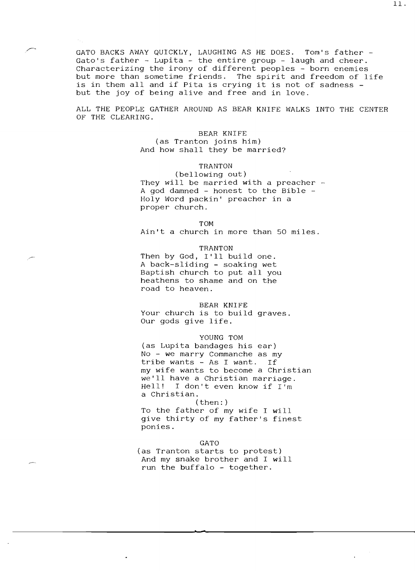GATO BACKS AWAY QUICKLY, LAUGHING AS HE DOES. Tom's father Gato's father - Lupita - the entire group - laugh and cheer. Characterizing the irony of different peoples - born enemies but more than sometime friends. The spirit and freedom of life is in them all and if Pita is crying it is not of sadness but the joy of being alive and free and in love.

ALL THE PEOPLE GATHER AROUND AS BEAR KNIFE WALKS INTO THE CENTER OF THE CLEARING.

## BEAR KNIFE (as Tranton joins him) And how shall they be married?

# TRANTON

(bellowing out) They will be married with a preacher -A god damned - honest to the Bible -Holy Word packin' preacher in a proper church.

#### TOM

Ain't a church in more than 50 miles.

## TRANTON

Then by God, I'll build one. A back-sliding - soaking wet Baptish church to put all you heathens to shame and on the road to heaven.

### BEAR KNIFE

Your church is to build graves. Our gods give life.

## YOUNG TOM

(as Lupita bandages his ear) No - we marry Commanche as my tribe wants - As I want. If my wife wants to become a Christian we'll have a Christian marriage.<br>Hell! I don't even know if I'm I don't even know if I'm a Christian.

# (then: ) To the father of my wife I will give thirty of my father's finest ponies.

GATO (as Tranton starts to protest) And my snake brother and I will run the buffalo - together.

**..** 

11.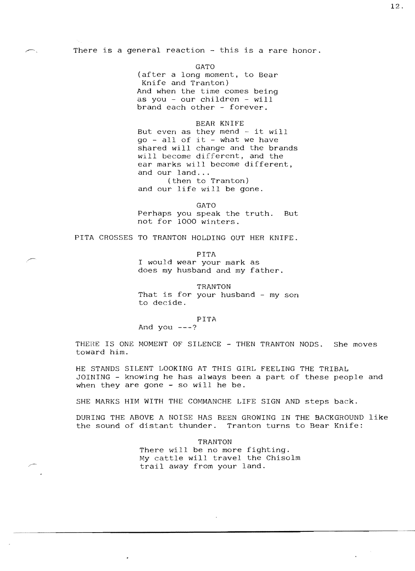There is a general reaction - this is a rare honor.

GATO (after a long moment, to Bear Knife and Tranton) And when the time comes being as you - our children - will brand each other - forever.

## BEAR KNIFE

But even as they mend  $-$  it will go - all of it - what we have shared will change and the brands will become different, and the ear marks will become different, and our land... (then to Tranton)

and our life will be gone.

GATO Perhaps you speak the truth. But not for 1000 winters.

PITA CROSSES TO TRANTON HOLDING OUT HER KNIFE.

PITA I would wear your mark as does my husband and my father.

TRANTON That is for your husband - my son to decide.

### PITA

And you  $---?$ 

THERE IS ONE MOMENT OF SILENCE - THEN TRANTON NODS. She moves toward him.

HE STANDS SILENT LOOKING AT THIS GIRL FEELING THE TRIBAL JOINING - knowing he has always been a part of these people and when they are gone - so will he be.

SHE MARKS HIM WITH THE COMMANCHE LIFE SIGN AND steps back.

DURING THE ABOVE A NOISE HAS BEEN GROWING IN THE BACKGROUND like the sound of distant thunder. Tranton turns to Bear Knife:

> TRANTON There will be no more fighting. My cattle will travel the Chisolm trail away from your land.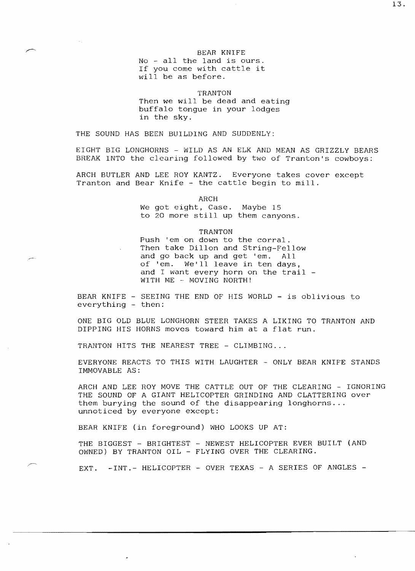#### BEAR KNIFE

No - all the land is ours. If you come with cattle it will be as before.

TRANTON

Then we will be dead and eating buffalo tongue in your lodges in the sky.

THE SOUND HAS BEEN BUILDING AND SUDDENLY:

EIGHT BIG LONGHORNS - WILD AS AN ELK AND MEAN AS GRIZZLY BEARS BREAK INTO the clearing followed by two of Tranton's cowboys:

ARCH BUTLER AND LEE ROY KANTZ. Everyone takes cover except Tranton and Bear Knife - the cattle begin to mill.

ARCH

We got eight, Case. Maybe 15 to 20 more still up them canyons.

## TRANTON

Push 'em on down to the corral. Then take Dillon and String-Fellow<br>and go back up and get 'em. All and go back up and get 'em. of 'em. We'll leave in ten days, and I want every horn on the trail WITH ME - MOVING NORTH!

BEAR KNIFE - SEEING THE END OF HIS WORLD - is oblivious to everything - then:

ONE BIG OLD BLUE LONGHORN STEER TAKES A LIKING TO TRANTON AND DIPPING HIS HORNS moves toward him at a flat run.

TRANTON HITS THE NEAREST TREE - CLIMBING...

EVERYONE REACTS TO THIS WITH LAUGHTER - ONLY BEAR KNIFE STANDS IMMOVABLE AS:

ARCH AND LEE ROY MOVE THE CATTLE OUT OF THE CLEARING - IGNORING THE SOUND OF A GIANT HELICOPTER GRINDING AND CLATTERING over them burying the sound of the disappearing longhorns ... unnoticed by everyone except:

BEAR KNIFE (in foreground) WHO LOOKS UP AT:

THE BIGGEST - BRIGHTEST - NEWEST HELICOPTER EVER BUILT (AND OWNED) BY TRANTON OIL - FLYING OVER THE CLEARING.

EXT. -INT.- HELICOPTER - OVER TEXAS - A SERIES OF ANGLES -